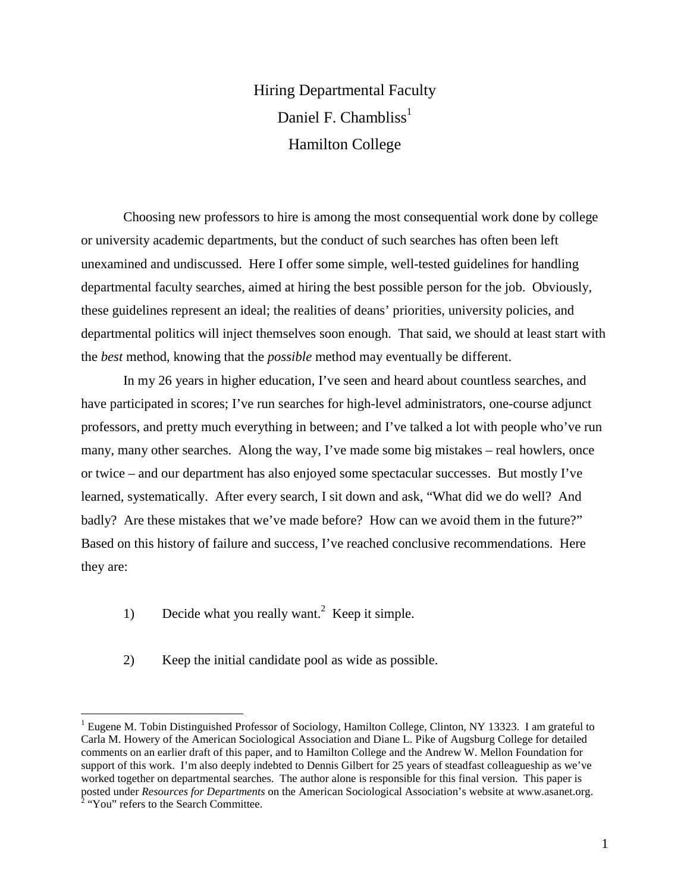# Hiring Departmental Faculty Daniel F. Chambliss<sup>1</sup> Hamilton College

 Choosing new professors to hire is among the most consequential work done by college or university academic departments, but the conduct of such searches has often been left unexamined and undiscussed. Here I offer some simple, well-tested guidelines for handling departmental faculty searches, aimed at hiring the best possible person for the job. Obviously, these guidelines represent an ideal; the realities of deans' priorities, university policies, and departmental politics will inject themselves soon enough. That said, we should at least start with the *best* method, knowing that the *possible* method may eventually be different.

 In my 26 years in higher education, I've seen and heard about countless searches, and have participated in scores; I've run searches for high-level administrators, one-course adjunct professors, and pretty much everything in between; and I've talked a lot with people who've run many, many other searches. Along the way, I've made some big mistakes – real howlers, once or twice – and our department has also enjoyed some spectacular successes. But mostly I've learned, systematically. After every search, I sit down and ask, "What did we do well? And badly? Are these mistakes that we've made before? How can we avoid them in the future?" Based on this history of failure and success, I've reached conclusive recommendations. Here they are:

1) Decide what you really want.<sup>2</sup> Keep it simple.

 $\overline{a}$ 

2) Keep the initial candidate pool as wide as possible.

<sup>&</sup>lt;sup>1</sup> Eugene M. Tobin Distinguished Professor of Sociology, Hamilton College, Clinton, NY 13323. I am grateful to Carla M. Howery of the American Sociological Association and Diane L. Pike of Augsburg College for detailed comments on an earlier draft of this paper, and to Hamilton College and the Andrew W. Mellon Foundation for support of this work. I'm also deeply indebted to Dennis Gilbert for 25 years of steadfast colleagueship as we've worked together on departmental searches. The author alone is responsible for this final version. This paper is posted under *Resources for Departments* on the American Sociological Association's website at www.asanet.org.<br><sup>2</sup> "You" refers to the Search Committee.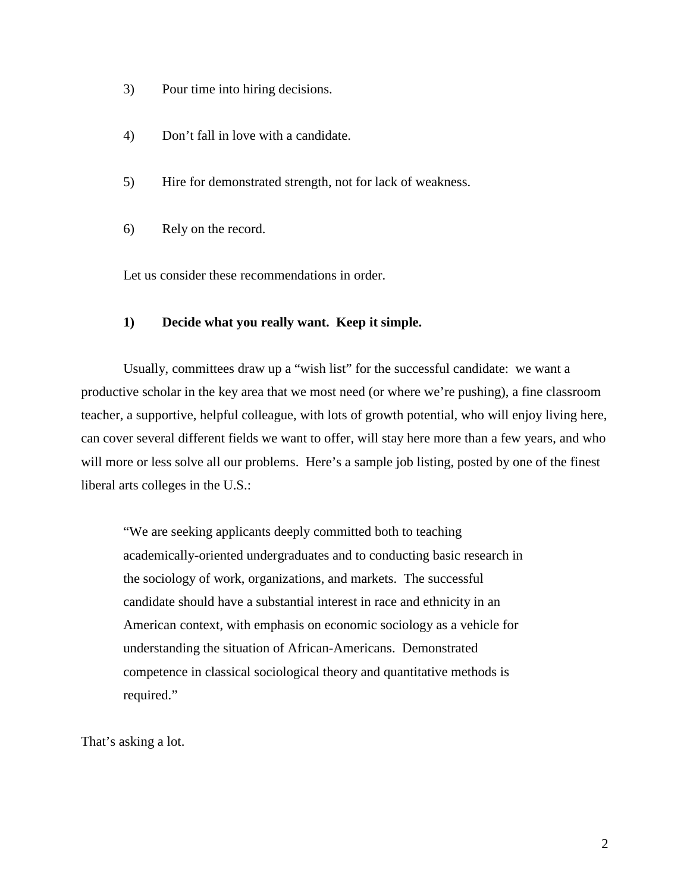- 3) Pour time into hiring decisions.
- 4) Don't fall in love with a candidate.
- 5) Hire for demonstrated strength, not for lack of weakness.
- 6) Rely on the record.

Let us consider these recommendations in order.

# **1) Decide what you really want. Keep it simple.**

 Usually, committees draw up a "wish list" for the successful candidate: we want a productive scholar in the key area that we most need (or where we're pushing), a fine classroom teacher, a supportive, helpful colleague, with lots of growth potential, who will enjoy living here, can cover several different fields we want to offer, will stay here more than a few years, and who will more or less solve all our problems. Here's a sample job listing, posted by one of the finest liberal arts colleges in the U.S.:

 "We are seeking applicants deeply committed both to teaching academically-oriented undergraduates and to conducting basic research in the sociology of work, organizations, and markets. The successful candidate should have a substantial interest in race and ethnicity in an American context, with emphasis on economic sociology as a vehicle for understanding the situation of African-Americans. Demonstrated competence in classical sociological theory and quantitative methods is required."

That's asking a lot.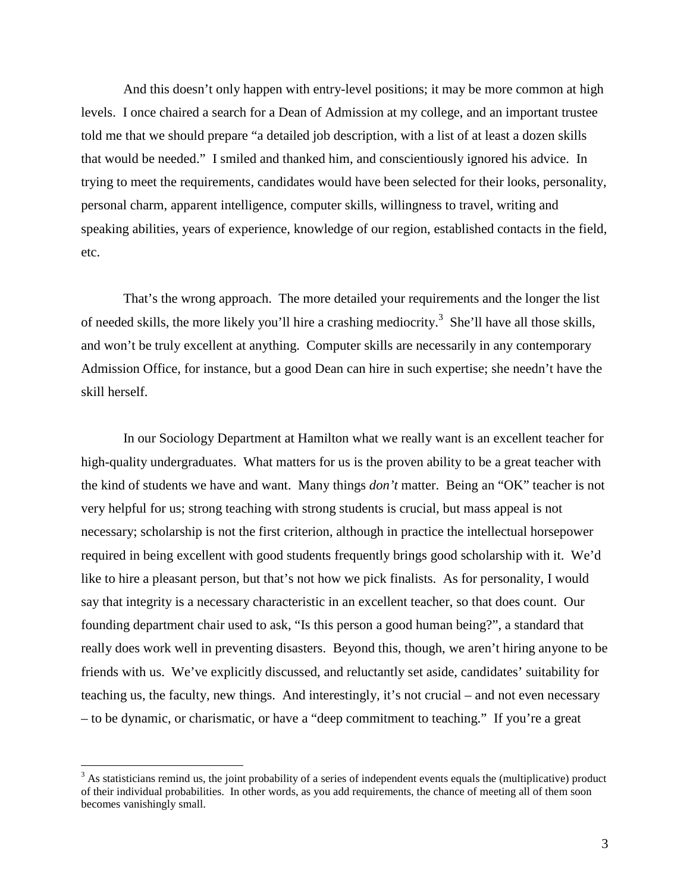And this doesn't only happen with entry-level positions; it may be more common at high levels. I once chaired a search for a Dean of Admission at my college, and an important trustee told me that we should prepare "a detailed job description, with a list of at least a dozen skills that would be needed." I smiled and thanked him, and conscientiously ignored his advice. In trying to meet the requirements, candidates would have been selected for their looks, personality, personal charm, apparent intelligence, computer skills, willingness to travel, writing and speaking abilities, years of experience, knowledge of our region, established contacts in the field, etc.

 That's the wrong approach. The more detailed your requirements and the longer the list of needed skills, the more likely you'll hire a crashing mediocrity.<sup>3</sup> She'll have all those skills, and won't be truly excellent at anything. Computer skills are necessarily in any contemporary Admission Office, for instance, but a good Dean can hire in such expertise; she needn't have the skill herself.

 In our Sociology Department at Hamilton what we really want is an excellent teacher for high-quality undergraduates. What matters for us is the proven ability to be a great teacher with the kind of students we have and want. Many things *don't* matter. Being an "OK" teacher is not very helpful for us; strong teaching with strong students is crucial, but mass appeal is not necessary; scholarship is not the first criterion, although in practice the intellectual horsepower required in being excellent with good students frequently brings good scholarship with it. We'd like to hire a pleasant person, but that's not how we pick finalists. As for personality, I would say that integrity is a necessary characteristic in an excellent teacher, so that does count. Our founding department chair used to ask, "Is this person a good human being?", a standard that really does work well in preventing disasters. Beyond this, though, we aren't hiring anyone to be friends with us. We've explicitly discussed, and reluctantly set aside, candidates' suitability for teaching us, the faculty, new things. And interestingly, it's not crucial – and not even necessary – to be dynamic, or charismatic, or have a "deep commitment to teaching." If you're a great

 $\overline{a}$ 

 $3$  As statisticians remind us, the joint probability of a series of independent events equals the (multiplicative) product of their individual probabilities. In other words, as you add requirements, the chance of meeting all of them soon becomes vanishingly small.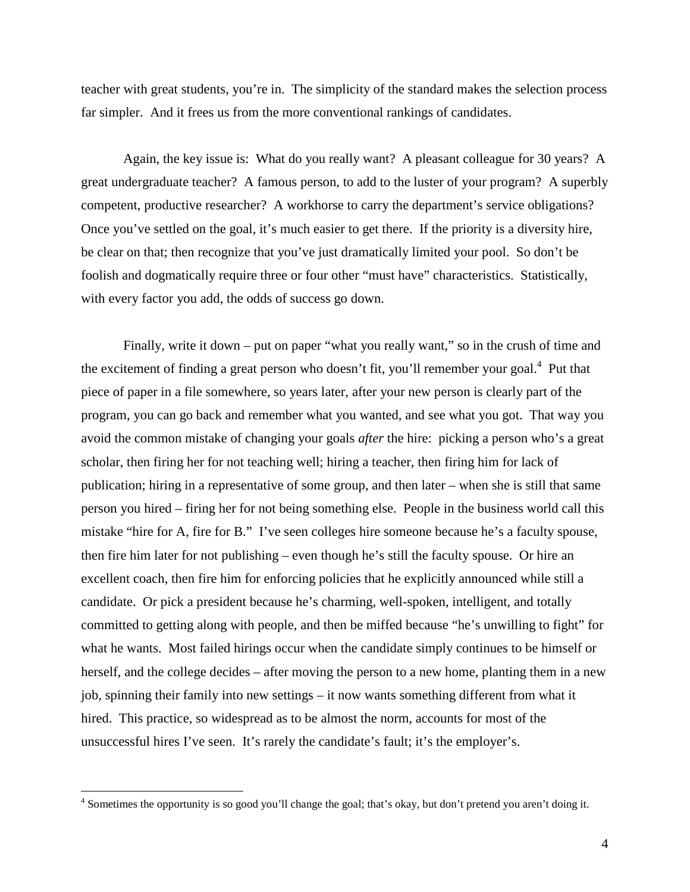teacher with great students, you're in. The simplicity of the standard makes the selection process far simpler. And it frees us from the more conventional rankings of candidates.

 Again, the key issue is: What do you really want? A pleasant colleague for 30 years? A great undergraduate teacher? A famous person, to add to the luster of your program? A superbly competent, productive researcher? A workhorse to carry the department's service obligations? Once you've settled on the goal, it's much easier to get there. If the priority is a diversity hire, be clear on that; then recognize that you've just dramatically limited your pool. So don't be foolish and dogmatically require three or four other "must have" characteristics. Statistically, with every factor you add, the odds of success go down.

Finally, write it down – put on paper "what you really want," so in the crush of time and the excitement of finding a great person who doesn't fit, you'll remember your goal.<sup>4</sup> Put that piece of paper in a file somewhere, so years later, after your new person is clearly part of the program, you can go back and remember what you wanted, and see what you got. That way you avoid the common mistake of changing your goals *after* the hire: picking a person who's a great scholar, then firing her for not teaching well; hiring a teacher, then firing him for lack of publication; hiring in a representative of some group, and then later – when she is still that same person you hired – firing her for not being something else. People in the business world call this mistake "hire for A, fire for B." I've seen colleges hire someone because he's a faculty spouse, then fire him later for not publishing – even though he's still the faculty spouse. Or hire an excellent coach, then fire him for enforcing policies that he explicitly announced while still a candidate. Or pick a president because he's charming, well-spoken, intelligent, and totally committed to getting along with people, and then be miffed because "he's unwilling to fight" for what he wants. Most failed hirings occur when the candidate simply continues to be himself or herself, and the college decides – after moving the person to a new home, planting them in a new job, spinning their family into new settings – it now wants something different from what it hired. This practice, so widespread as to be almost the norm, accounts for most of the unsuccessful hires I've seen. It's rarely the candidate's fault; it's the employer's.

<u>.</u>

<sup>&</sup>lt;sup>4</sup> Sometimes the opportunity is so good you'll change the goal; that's okay, but don't pretend you aren't doing it.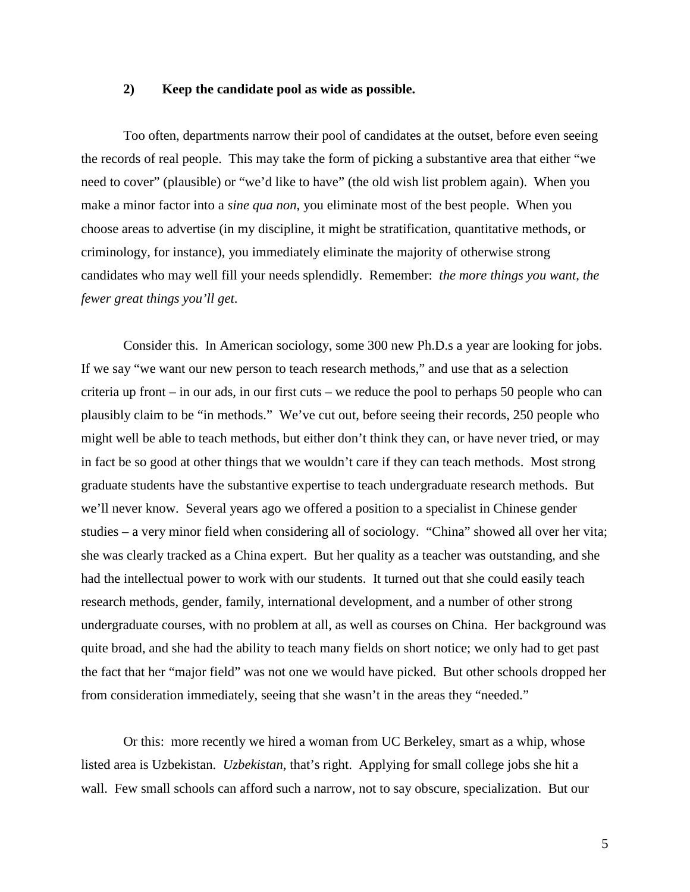# **2) Keep the candidate pool as wide as possible.**

 Too often, departments narrow their pool of candidates at the outset, before even seeing the records of real people. This may take the form of picking a substantive area that either "we need to cover" (plausible) or "we'd like to have" (the old wish list problem again). When you make a minor factor into a *sine qua non*, you eliminate most of the best people. When you choose areas to advertise (in my discipline, it might be stratification, quantitative methods, or criminology, for instance), you immediately eliminate the majority of otherwise strong candidates who may well fill your needs splendidly. Remember: *the more things you want, the fewer great things you'll get*.

 Consider this. In American sociology, some 300 new Ph.D.s a year are looking for jobs. If we say "we want our new person to teach research methods," and use that as a selection criteria up front – in our ads, in our first cuts – we reduce the pool to perhaps 50 people who can plausibly claim to be "in methods." We've cut out, before seeing their records, 250 people who might well be able to teach methods, but either don't think they can, or have never tried, or may in fact be so good at other things that we wouldn't care if they can teach methods. Most strong graduate students have the substantive expertise to teach undergraduate research methods. But we'll never know. Several years ago we offered a position to a specialist in Chinese gender studies – a very minor field when considering all of sociology. "China" showed all over her vita; she was clearly tracked as a China expert. But her quality as a teacher was outstanding, and she had the intellectual power to work with our students. It turned out that she could easily teach research methods, gender, family, international development, and a number of other strong undergraduate courses, with no problem at all, as well as courses on China. Her background was quite broad, and she had the ability to teach many fields on short notice; we only had to get past the fact that her "major field" was not one we would have picked. But other schools dropped her from consideration immediately, seeing that she wasn't in the areas they "needed."

 Or this: more recently we hired a woman from UC Berkeley, smart as a whip, whose listed area is Uzbekistan. *Uzbekistan*, that's right. Applying for small college jobs she hit a wall. Few small schools can afford such a narrow, not to say obscure, specialization. But our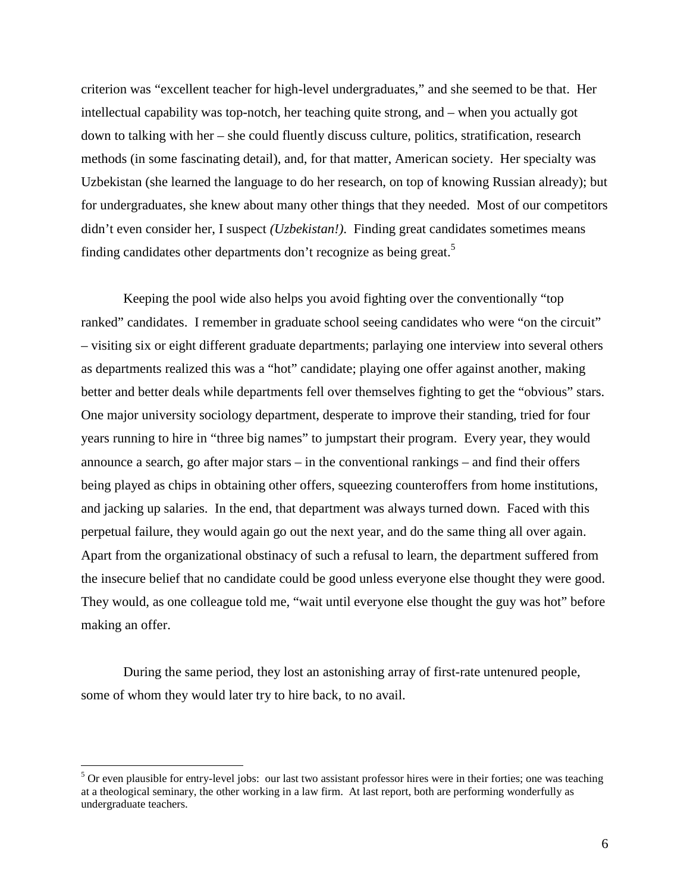criterion was "excellent teacher for high-level undergraduates," and she seemed to be that. Her intellectual capability was top-notch, her teaching quite strong, and – when you actually got down to talking with her – she could fluently discuss culture, politics, stratification, research methods (in some fascinating detail), and, for that matter, American society. Her specialty was Uzbekistan (she learned the language to do her research, on top of knowing Russian already); but for undergraduates, she knew about many other things that they needed. Most of our competitors didn't even consider her, I suspect *(Uzbekistan!)*. Finding great candidates sometimes means finding candidates other departments don't recognize as being great.<sup>5</sup>

 Keeping the pool wide also helps you avoid fighting over the conventionally "top ranked" candidates. I remember in graduate school seeing candidates who were "on the circuit" – visiting six or eight different graduate departments; parlaying one interview into several others as departments realized this was a "hot" candidate; playing one offer against another, making better and better deals while departments fell over themselves fighting to get the "obvious" stars. One major university sociology department, desperate to improve their standing, tried for four years running to hire in "three big names" to jumpstart their program. Every year, they would announce a search, go after major stars – in the conventional rankings – and find their offers being played as chips in obtaining other offers, squeezing counteroffers from home institutions, and jacking up salaries. In the end, that department was always turned down. Faced with this perpetual failure, they would again go out the next year, and do the same thing all over again. Apart from the organizational obstinacy of such a refusal to learn, the department suffered from the insecure belief that no candidate could be good unless everyone else thought they were good. They would, as one colleague told me, "wait until everyone else thought the guy was hot" before making an offer.

 During the same period, they lost an astonishing array of first-rate untenured people, some of whom they would later try to hire back, to no avail.

 $\overline{a}$ 

<sup>&</sup>lt;sup>5</sup> Or even plausible for entry-level jobs: our last two assistant professor hires were in their forties; one was teaching at a theological seminary, the other working in a law firm. At last report, both are performing wonderfully as undergraduate teachers.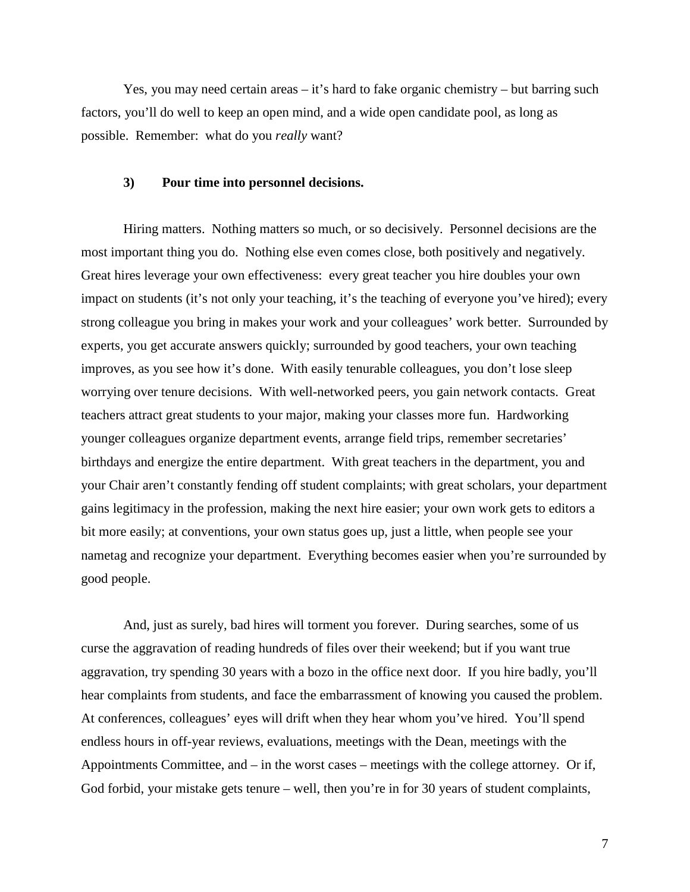Yes, you may need certain areas – it's hard to fake organic chemistry – but barring such factors, you'll do well to keep an open mind, and a wide open candidate pool, as long as possible. Remember: what do you *really* want?

# **3) Pour time into personnel decisions.**

 Hiring matters. Nothing matters so much, or so decisively. Personnel decisions are the most important thing you do. Nothing else even comes close, both positively and negatively. Great hires leverage your own effectiveness: every great teacher you hire doubles your own impact on students (it's not only your teaching, it's the teaching of everyone you've hired); every strong colleague you bring in makes your work and your colleagues' work better. Surrounded by experts, you get accurate answers quickly; surrounded by good teachers, your own teaching improves, as you see how it's done. With easily tenurable colleagues, you don't lose sleep worrying over tenure decisions. With well-networked peers, you gain network contacts. Great teachers attract great students to your major, making your classes more fun. Hardworking younger colleagues organize department events, arrange field trips, remember secretaries' birthdays and energize the entire department. With great teachers in the department, you and your Chair aren't constantly fending off student complaints; with great scholars, your department gains legitimacy in the profession, making the next hire easier; your own work gets to editors a bit more easily; at conventions, your own status goes up, just a little, when people see your nametag and recognize your department. Everything becomes easier when you're surrounded by good people.

 And, just as surely, bad hires will torment you forever. During searches, some of us curse the aggravation of reading hundreds of files over their weekend; but if you want true aggravation, try spending 30 years with a bozo in the office next door. If you hire badly, you'll hear complaints from students, and face the embarrassment of knowing you caused the problem. At conferences, colleagues' eyes will drift when they hear whom you've hired. You'll spend endless hours in off-year reviews, evaluations, meetings with the Dean, meetings with the Appointments Committee, and – in the worst cases – meetings with the college attorney. Or if, God forbid, your mistake gets tenure – well, then you're in for 30 years of student complaints,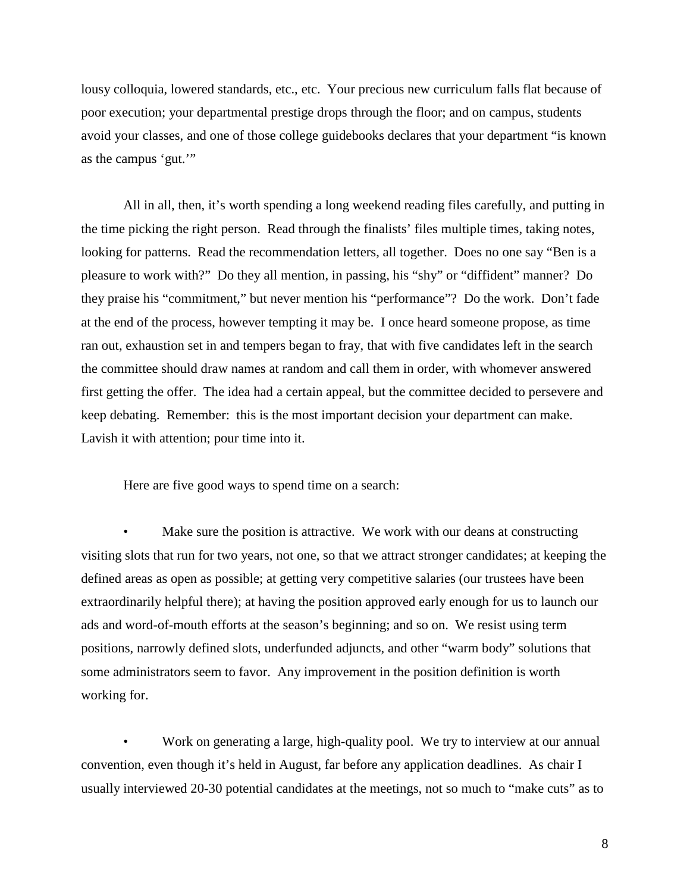lousy colloquia, lowered standards, etc., etc. Your precious new curriculum falls flat because of poor execution; your departmental prestige drops through the floor; and on campus, students avoid your classes, and one of those college guidebooks declares that your department "is known as the campus 'gut.'"

 All in all, then, it's worth spending a long weekend reading files carefully, and putting in the time picking the right person. Read through the finalists' files multiple times, taking notes, looking for patterns. Read the recommendation letters, all together. Does no one say "Ben is a pleasure to work with?" Do they all mention, in passing, his "shy" or "diffident" manner? Do they praise his "commitment," but never mention his "performance"? Do the work. Don't fade at the end of the process, however tempting it may be. I once heard someone propose, as time ran out, exhaustion set in and tempers began to fray, that with five candidates left in the search the committee should draw names at random and call them in order, with whomever answered first getting the offer. The idea had a certain appeal, but the committee decided to persevere and keep debating. Remember: this is the most important decision your department can make. Lavish it with attention; pour time into it.

Here are five good ways to spend time on a search:

Make sure the position is attractive. We work with our deans at constructing visiting slots that run for two years, not one, so that we attract stronger candidates; at keeping the defined areas as open as possible; at getting very competitive salaries (our trustees have been extraordinarily helpful there); at having the position approved early enough for us to launch our ads and word-of-mouth efforts at the season's beginning; and so on. We resist using term positions, narrowly defined slots, underfunded adjuncts, and other "warm body" solutions that some administrators seem to favor. Any improvement in the position definition is worth working for.

Work on generating a large, high-quality pool. We try to interview at our annual convention, even though it's held in August, far before any application deadlines. As chair I usually interviewed 20-30 potential candidates at the meetings, not so much to "make cuts" as to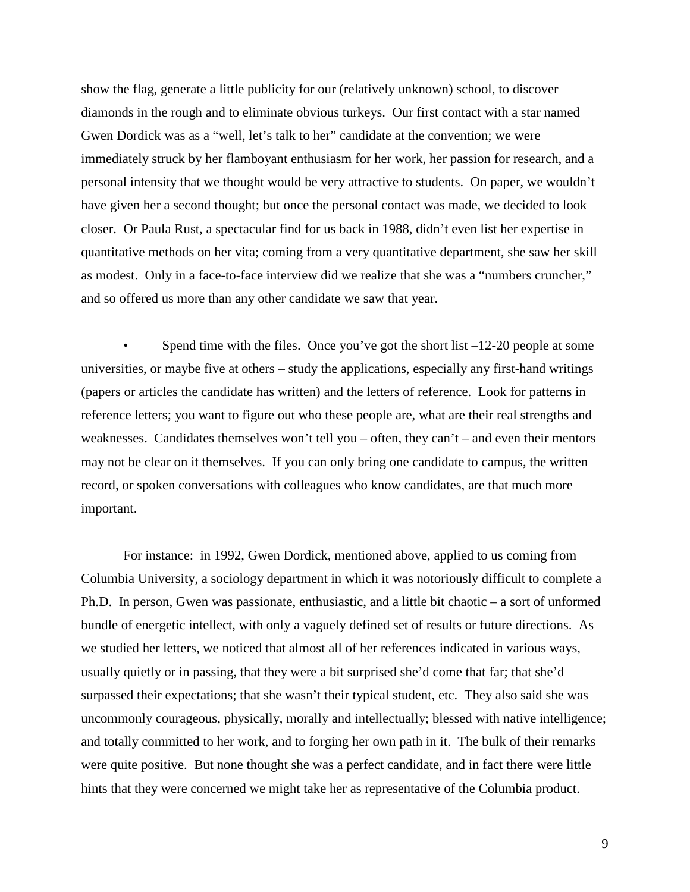show the flag, generate a little publicity for our (relatively unknown) school, to discover diamonds in the rough and to eliminate obvious turkeys. Our first contact with a star named Gwen Dordick was as a "well, let's talk to her" candidate at the convention; we were immediately struck by her flamboyant enthusiasm for her work, her passion for research, and a personal intensity that we thought would be very attractive to students. On paper, we wouldn't have given her a second thought; but once the personal contact was made, we decided to look closer. Or Paula Rust, a spectacular find for us back in 1988, didn't even list her expertise in quantitative methods on her vita; coming from a very quantitative department, she saw her skill as modest. Only in a face-to-face interview did we realize that she was a "numbers cruncher," and so offered us more than any other candidate we saw that year.

Spend time with the files. Once you've got the short list  $-12-20$  people at some universities, or maybe five at others – study the applications, especially any first-hand writings (papers or articles the candidate has written) and the letters of reference. Look for patterns in reference letters; you want to figure out who these people are, what are their real strengths and weaknesses. Candidates themselves won't tell you – often, they can't – and even their mentors may not be clear on it themselves. If you can only bring one candidate to campus, the written record, or spoken conversations with colleagues who know candidates, are that much more important.

 For instance: in 1992, Gwen Dordick, mentioned above, applied to us coming from Columbia University, a sociology department in which it was notoriously difficult to complete a Ph.D. In person, Gwen was passionate, enthusiastic, and a little bit chaotic – a sort of unformed bundle of energetic intellect, with only a vaguely defined set of results or future directions. As we studied her letters, we noticed that almost all of her references indicated in various ways, usually quietly or in passing, that they were a bit surprised she'd come that far; that she'd surpassed their expectations; that she wasn't their typical student, etc. They also said she was uncommonly courageous, physically, morally and intellectually; blessed with native intelligence; and totally committed to her work, and to forging her own path in it. The bulk of their remarks were quite positive. But none thought she was a perfect candidate, and in fact there were little hints that they were concerned we might take her as representative of the Columbia product.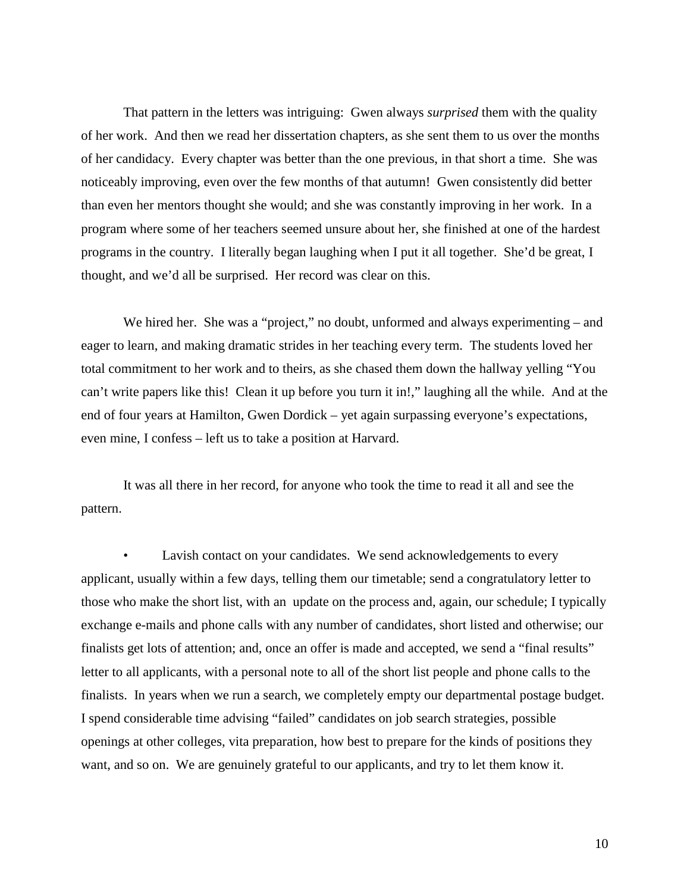That pattern in the letters was intriguing: Gwen always *surprised* them with the quality of her work. And then we read her dissertation chapters, as she sent them to us over the months of her candidacy. Every chapter was better than the one previous, in that short a time. She was noticeably improving, even over the few months of that autumn! Gwen consistently did better than even her mentors thought she would; and she was constantly improving in her work. In a program where some of her teachers seemed unsure about her, she finished at one of the hardest programs in the country. I literally began laughing when I put it all together. She'd be great, I thought, and we'd all be surprised. Her record was clear on this.

We hired her. She was a "project," no doubt, unformed and always experimenting – and eager to learn, and making dramatic strides in her teaching every term. The students loved her total commitment to her work and to theirs, as she chased them down the hallway yelling "You can't write papers like this! Clean it up before you turn it in!," laughing all the while. And at the end of four years at Hamilton, Gwen Dordick – yet again surpassing everyone's expectations, even mine, I confess – left us to take a position at Harvard.

 It was all there in her record, for anyone who took the time to read it all and see the pattern.

Lavish contact on your candidates. We send acknowledgements to every applicant, usually within a few days, telling them our timetable; send a congratulatory letter to those who make the short list, with an update on the process and, again, our schedule; I typically exchange e-mails and phone calls with any number of candidates, short listed and otherwise; our finalists get lots of attention; and, once an offer is made and accepted, we send a "final results" letter to all applicants, with a personal note to all of the short list people and phone calls to the finalists. In years when we run a search, we completely empty our departmental postage budget. I spend considerable time advising "failed" candidates on job search strategies, possible openings at other colleges, vita preparation, how best to prepare for the kinds of positions they want, and so on. We are genuinely grateful to our applicants, and try to let them know it.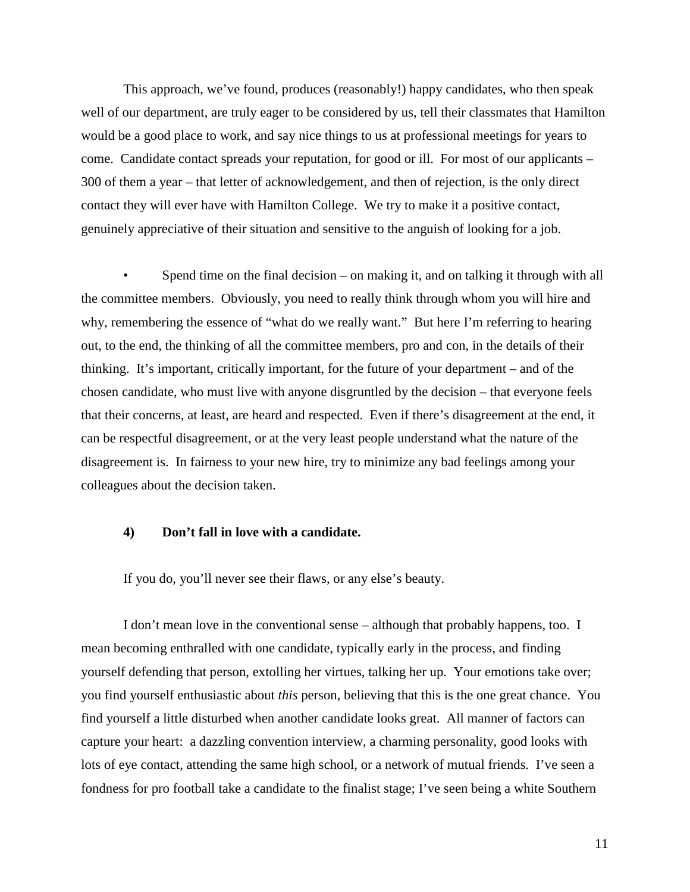This approach, we've found, produces (reasonably!) happy candidates, who then speak well of our department, are truly eager to be considered by us, tell their classmates that Hamilton would be a good place to work, and say nice things to us at professional meetings for years to come. Candidate contact spreads your reputation, for good or ill. For most of our applicants – 300 of them a year – that letter of acknowledgement, and then of rejection, is the only direct contact they will ever have with Hamilton College. We try to make it a positive contact, genuinely appreciative of their situation and sensitive to the anguish of looking for a job.

• Spend time on the final decision – on making it, and on talking it through with all the committee members. Obviously, you need to really think through whom you will hire and why, remembering the essence of "what do we really want." But here I'm referring to hearing out, to the end, the thinking of all the committee members, pro and con, in the details of their thinking. It's important, critically important, for the future of your department – and of the chosen candidate, who must live with anyone disgruntled by the decision – that everyone feels that their concerns, at least, are heard and respected. Even if there's disagreement at the end, it can be respectful disagreement, or at the very least people understand what the nature of the disagreement is. In fairness to your new hire, try to minimize any bad feelings among your colleagues about the decision taken.

# **4) Don't fall in love with a candidate.**

If you do, you'll never see their flaws, or any else's beauty.

 I don't mean love in the conventional sense – although that probably happens, too. I mean becoming enthralled with one candidate, typically early in the process, and finding yourself defending that person, extolling her virtues, talking her up. Your emotions take over; you find yourself enthusiastic about *this* person, believing that this is the one great chance. You find yourself a little disturbed when another candidate looks great. All manner of factors can capture your heart: a dazzling convention interview, a charming personality, good looks with lots of eye contact, attending the same high school, or a network of mutual friends. I've seen a fondness for pro football take a candidate to the finalist stage; I've seen being a white Southern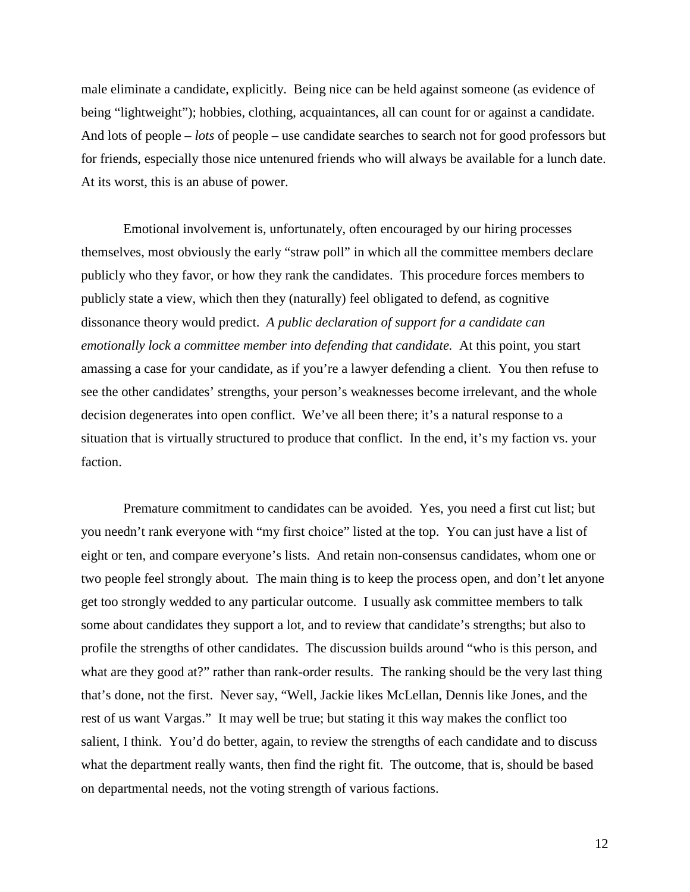male eliminate a candidate, explicitly. Being nice can be held against someone (as evidence of being "lightweight"); hobbies, clothing, acquaintances, all can count for or against a candidate. And lots of people – *lots* of people – use candidate searches to search not for good professors but for friends, especially those nice untenured friends who will always be available for a lunch date. At its worst, this is an abuse of power.

 Emotional involvement is, unfortunately, often encouraged by our hiring processes themselves, most obviously the early "straw poll" in which all the committee members declare publicly who they favor, or how they rank the candidates. This procedure forces members to publicly state a view, which then they (naturally) feel obligated to defend, as cognitive dissonance theory would predict. *A public declaration of support for a candidate can emotionally lock a committee member into defending that candidate.* At this point, you start amassing a case for your candidate, as if you're a lawyer defending a client. You then refuse to see the other candidates' strengths, your person's weaknesses become irrelevant, and the whole decision degenerates into open conflict. We've all been there; it's a natural response to a situation that is virtually structured to produce that conflict. In the end, it's my faction vs. your faction.

 Premature commitment to candidates can be avoided. Yes, you need a first cut list; but you needn't rank everyone with "my first choice" listed at the top. You can just have a list of eight or ten, and compare everyone's lists. And retain non-consensus candidates, whom one or two people feel strongly about. The main thing is to keep the process open, and don't let anyone get too strongly wedded to any particular outcome. I usually ask committee members to talk some about candidates they support a lot, and to review that candidate's strengths; but also to profile the strengths of other candidates. The discussion builds around "who is this person, and what are they good at?" rather than rank-order results. The ranking should be the very last thing that's done, not the first. Never say, "Well, Jackie likes McLellan, Dennis like Jones, and the rest of us want Vargas." It may well be true; but stating it this way makes the conflict too salient, I think. You'd do better, again, to review the strengths of each candidate and to discuss what the department really wants, then find the right fit. The outcome, that is, should be based on departmental needs, not the voting strength of various factions.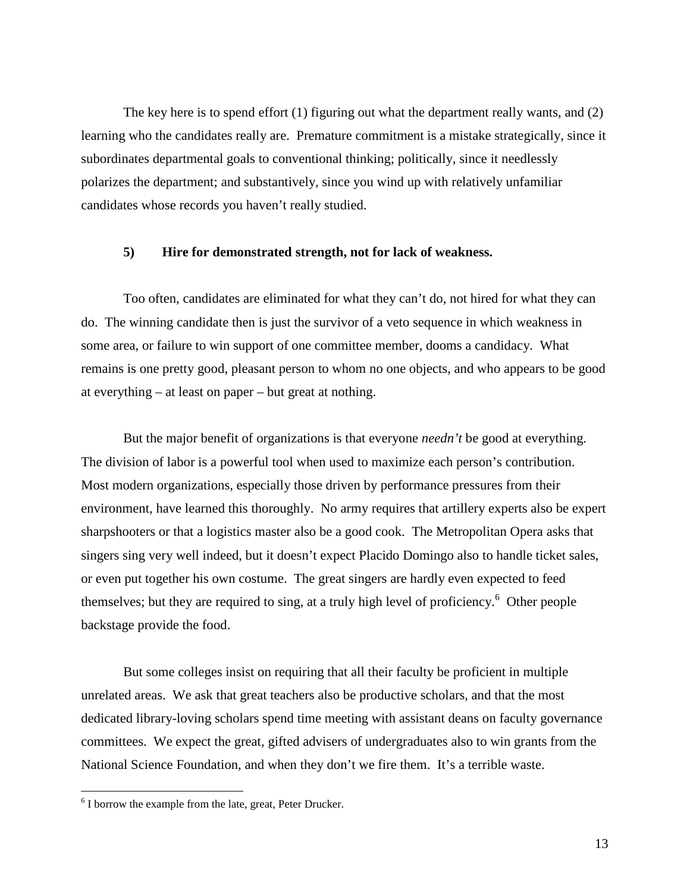The key here is to spend effort (1) figuring out what the department really wants, and (2) learning who the candidates really are. Premature commitment is a mistake strategically, since it subordinates departmental goals to conventional thinking; politically, since it needlessly polarizes the department; and substantively, since you wind up with relatively unfamiliar candidates whose records you haven't really studied.

# **5) Hire for demonstrated strength, not for lack of weakness.**

 Too often, candidates are eliminated for what they can't do, not hired for what they can do. The winning candidate then is just the survivor of a veto sequence in which weakness in some area, or failure to win support of one committee member, dooms a candidacy. What remains is one pretty good, pleasant person to whom no one objects, and who appears to be good at everything – at least on paper – but great at nothing.

 But the major benefit of organizations is that everyone *needn't* be good at everything. The division of labor is a powerful tool when used to maximize each person's contribution. Most modern organizations, especially those driven by performance pressures from their environment, have learned this thoroughly. No army requires that artillery experts also be expert sharpshooters or that a logistics master also be a good cook. The Metropolitan Opera asks that singers sing very well indeed, but it doesn't expect Placido Domingo also to handle ticket sales, or even put together his own costume. The great singers are hardly even expected to feed themselves; but they are required to sing, at a truly high level of proficiency.<sup>6</sup> Other people backstage provide the food.

 But some colleges insist on requiring that all their faculty be proficient in multiple unrelated areas. We ask that great teachers also be productive scholars, and that the most dedicated library-loving scholars spend time meeting with assistant deans on faculty governance committees. We expect the great, gifted advisers of undergraduates also to win grants from the National Science Foundation, and when they don't we fire them. It's a terrible waste.

 $\overline{a}$ 

<sup>&</sup>lt;sup>6</sup> I borrow the example from the late, great, Peter Drucker.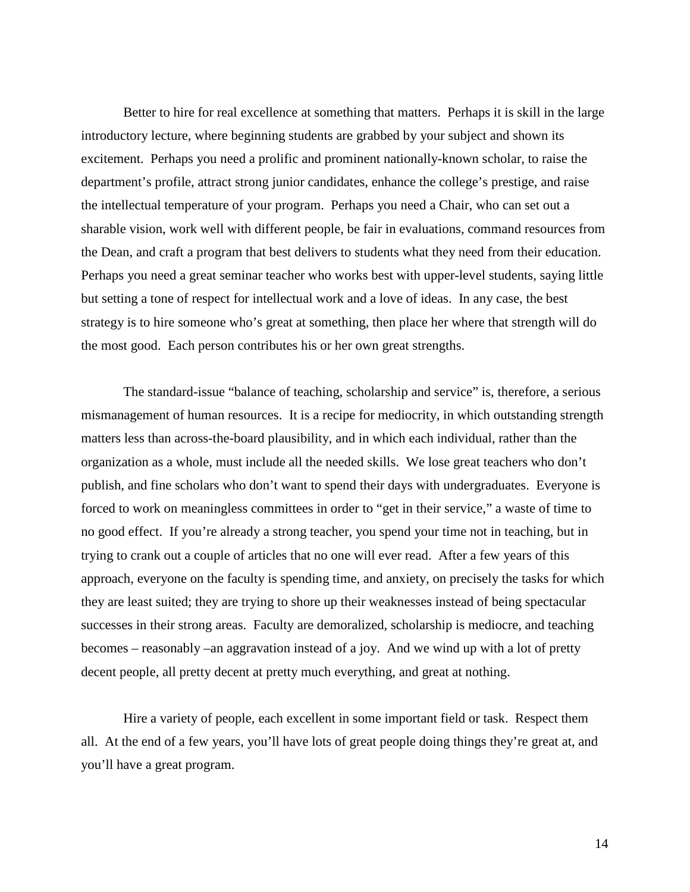Better to hire for real excellence at something that matters. Perhaps it is skill in the large introductory lecture, where beginning students are grabbed by your subject and shown its excitement. Perhaps you need a prolific and prominent nationally-known scholar, to raise the department's profile, attract strong junior candidates, enhance the college's prestige, and raise the intellectual temperature of your program. Perhaps you need a Chair, who can set out a sharable vision, work well with different people, be fair in evaluations, command resources from the Dean, and craft a program that best delivers to students what they need from their education. Perhaps you need a great seminar teacher who works best with upper-level students, saying little but setting a tone of respect for intellectual work and a love of ideas. In any case, the best strategy is to hire someone who's great at something, then place her where that strength will do the most good. Each person contributes his or her own great strengths.

 The standard-issue "balance of teaching, scholarship and service" is, therefore, a serious mismanagement of human resources. It is a recipe for mediocrity, in which outstanding strength matters less than across-the-board plausibility, and in which each individual, rather than the organization as a whole, must include all the needed skills. We lose great teachers who don't publish, and fine scholars who don't want to spend their days with undergraduates. Everyone is forced to work on meaningless committees in order to "get in their service," a waste of time to no good effect. If you're already a strong teacher, you spend your time not in teaching, but in trying to crank out a couple of articles that no one will ever read. After a few years of this approach, everyone on the faculty is spending time, and anxiety, on precisely the tasks for which they are least suited; they are trying to shore up their weaknesses instead of being spectacular successes in their strong areas. Faculty are demoralized, scholarship is mediocre, and teaching becomes – reasonably –an aggravation instead of a joy. And we wind up with a lot of pretty decent people, all pretty decent at pretty much everything, and great at nothing.

 Hire a variety of people, each excellent in some important field or task. Respect them all. At the end of a few years, you'll have lots of great people doing things they're great at, and you'll have a great program.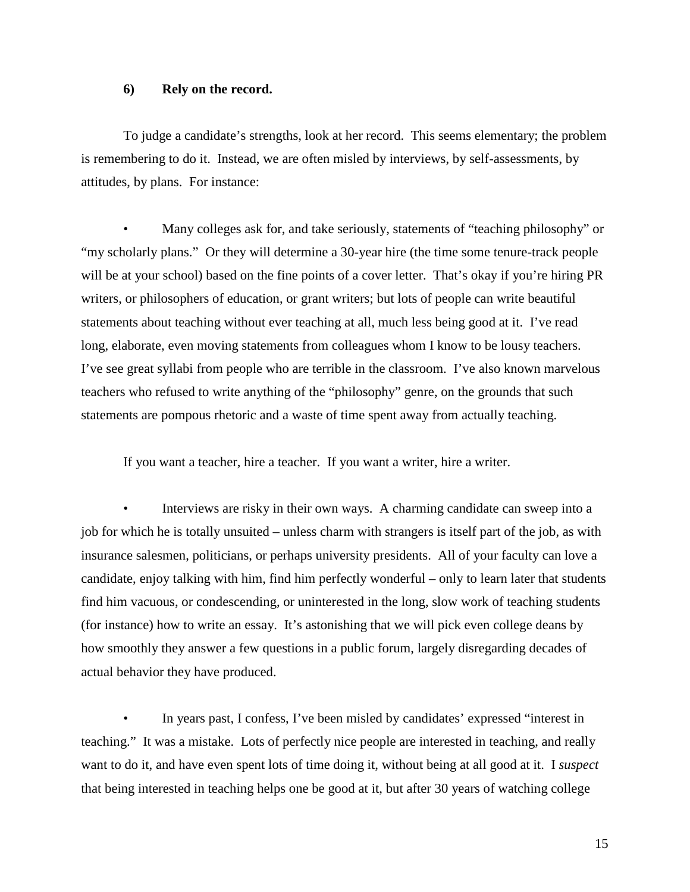# **6) Rely on the record.**

 To judge a candidate's strengths, look at her record. This seems elementary; the problem is remembering to do it. Instead, we are often misled by interviews, by self-assessments, by attitudes, by plans. For instance:

 • Many colleges ask for, and take seriously, statements of "teaching philosophy" or "my scholarly plans." Or they will determine a 30-year hire (the time some tenure-track people will be at your school) based on the fine points of a cover letter. That's okay if you're hiring PR writers, or philosophers of education, or grant writers; but lots of people can write beautiful statements about teaching without ever teaching at all, much less being good at it. I've read long, elaborate, even moving statements from colleagues whom I know to be lousy teachers. I've see great syllabi from people who are terrible in the classroom. I've also known marvelous teachers who refused to write anything of the "philosophy" genre, on the grounds that such statements are pompous rhetoric and a waste of time spent away from actually teaching.

If you want a teacher, hire a teacher. If you want a writer, hire a writer.

Interviews are risky in their own ways. A charming candidate can sweep into a job for which he is totally unsuited – unless charm with strangers is itself part of the job, as with insurance salesmen, politicians, or perhaps university presidents. All of your faculty can love a candidate, enjoy talking with him, find him perfectly wonderful – only to learn later that students find him vacuous, or condescending, or uninterested in the long, slow work of teaching students (for instance) how to write an essay. It's astonishing that we will pick even college deans by how smoothly they answer a few questions in a public forum, largely disregarding decades of actual behavior they have produced.

In years past, I confess, I've been misled by candidates' expressed "interest in teaching." It was a mistake. Lots of perfectly nice people are interested in teaching, and really want to do it, and have even spent lots of time doing it, without being at all good at it. I *suspect* that being interested in teaching helps one be good at it, but after 30 years of watching college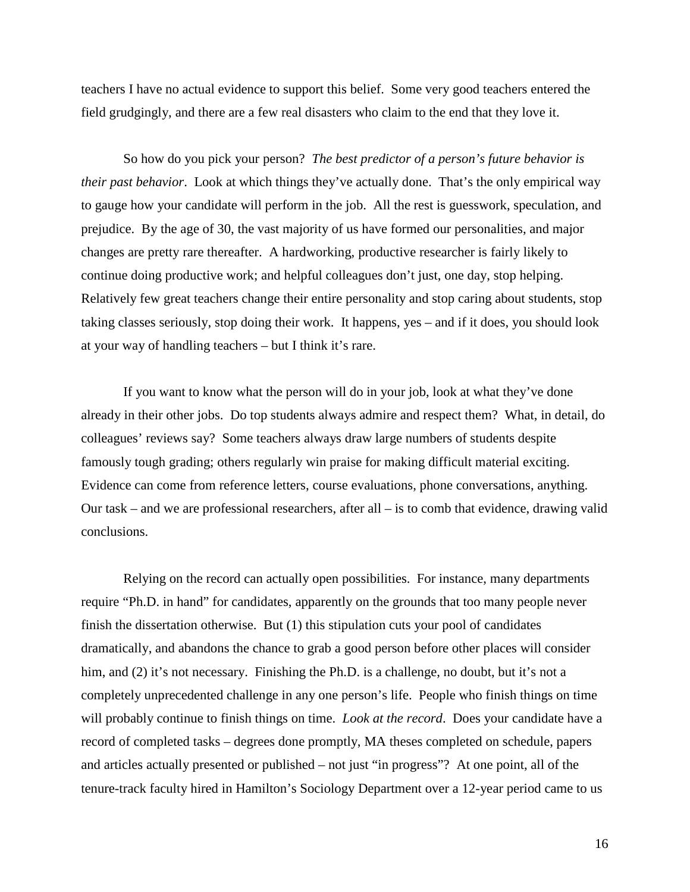teachers I have no actual evidence to support this belief. Some very good teachers entered the field grudgingly, and there are a few real disasters who claim to the end that they love it.

 So how do you pick your person? *The best predictor of a person's future behavior is their past behavior*. Look at which things they've actually done. That's the only empirical way to gauge how your candidate will perform in the job. All the rest is guesswork, speculation, and prejudice. By the age of 30, the vast majority of us have formed our personalities, and major changes are pretty rare thereafter. A hardworking, productive researcher is fairly likely to continue doing productive work; and helpful colleagues don't just, one day, stop helping. Relatively few great teachers change their entire personality and stop caring about students, stop taking classes seriously, stop doing their work. It happens, yes – and if it does, you should look at your way of handling teachers – but I think it's rare.

 If you want to know what the person will do in your job, look at what they've done already in their other jobs. Do top students always admire and respect them? What, in detail, do colleagues' reviews say? Some teachers always draw large numbers of students despite famously tough grading; others regularly win praise for making difficult material exciting. Evidence can come from reference letters, course evaluations, phone conversations, anything. Our task – and we are professional researchers, after all – is to comb that evidence, drawing valid conclusions.

 Relying on the record can actually open possibilities. For instance, many departments require "Ph.D. in hand" for candidates, apparently on the grounds that too many people never finish the dissertation otherwise. But (1) this stipulation cuts your pool of candidates dramatically, and abandons the chance to grab a good person before other places will consider him, and (2) it's not necessary. Finishing the Ph.D. is a challenge, no doubt, but it's not a completely unprecedented challenge in any one person's life. People who finish things on time will probably continue to finish things on time. *Look at the record*. Does your candidate have a record of completed tasks – degrees done promptly, MA theses completed on schedule, papers and articles actually presented or published – not just "in progress"? At one point, all of the tenure-track faculty hired in Hamilton's Sociology Department over a 12-year period came to us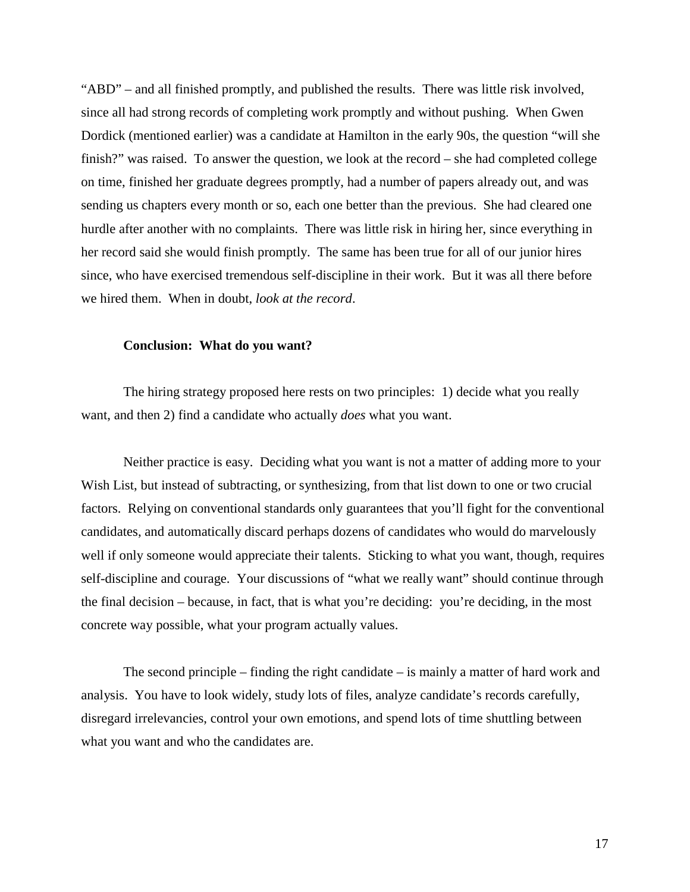"ABD" – and all finished promptly, and published the results. There was little risk involved, since all had strong records of completing work promptly and without pushing. When Gwen Dordick (mentioned earlier) was a candidate at Hamilton in the early 90s, the question "will she finish?" was raised. To answer the question, we look at the record – she had completed college on time, finished her graduate degrees promptly, had a number of papers already out, and was sending us chapters every month or so, each one better than the previous. She had cleared one hurdle after another with no complaints. There was little risk in hiring her, since everything in her record said she would finish promptly. The same has been true for all of our junior hires since, who have exercised tremendous self-discipline in their work. But it was all there before we hired them. When in doubt, *look at the record*.

#### **Conclusion: What do you want?**

 The hiring strategy proposed here rests on two principles: 1) decide what you really want, and then 2) find a candidate who actually *does* what you want.

 Neither practice is easy. Deciding what you want is not a matter of adding more to your Wish List, but instead of subtracting, or synthesizing, from that list down to one or two crucial factors. Relying on conventional standards only guarantees that you'll fight for the conventional candidates, and automatically discard perhaps dozens of candidates who would do marvelously well if only someone would appreciate their talents. Sticking to what you want, though, requires self-discipline and courage. Your discussions of "what we really want" should continue through the final decision – because, in fact, that is what you're deciding: you're deciding, in the most concrete way possible, what your program actually values.

 The second principle – finding the right candidate – is mainly a matter of hard work and analysis. You have to look widely, study lots of files, analyze candidate's records carefully, disregard irrelevancies, control your own emotions, and spend lots of time shuttling between what you want and who the candidates are.